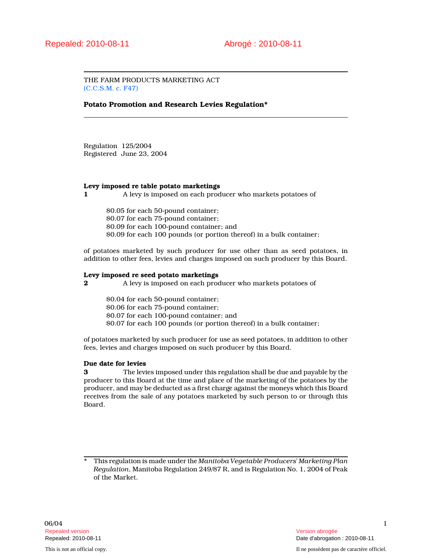THE FARM PRODUCTS MARKETING ACT (C.C.S.M. c. F47)

# Potato Promotion and Research Levies Regulation\*

Regulation 125/2004 Registered June 23, 2004

## Levy imposed re table potato marketings

1 A levy is imposed on each producer who markets potatoes of

\$0.05 for each 50-pound container; \$0.07 for each 75-pound container; \$0.09 for each 100-pound container; and \$0.09 for each 100 pounds (or portion thereof) in a bulk container;

of potatoes marketed by such producer for use other than as seed potatoes, in addition to other fees, levies and charges imposed on such producer by this Board.

#### Levy imposed re seed potato marketings

2 A levy is imposed on each producer who markets potatoes of

\$0.04 for each 50-pound container; \$0.06 for each 75-pound container;

\$0.07 for each 100-pound container; and

\$0.07 for each 100 pounds (or portion thereof) in a bulk container;

of potatoes marketed by such producer for use as seed potatoes, in addition to other fees, levies and charges imposed on such producer by this Board.

# Due date for levies

3 The levies imposed under this regulation shall be due and payable by the producer to this Board at the time and place of the marketing of the potatoes by the producer, and may be deducted as a first charge against the moneys which this Board receives from the sale of any potatoes marketed by such person to or through this Board.

This regulation is made under the Manitoba Vegetable Producers' Marketing Plan Regulation, Manitoba Regulation 249/87 R, and is Regulation No. 1, 2004 of Peak of the Market.